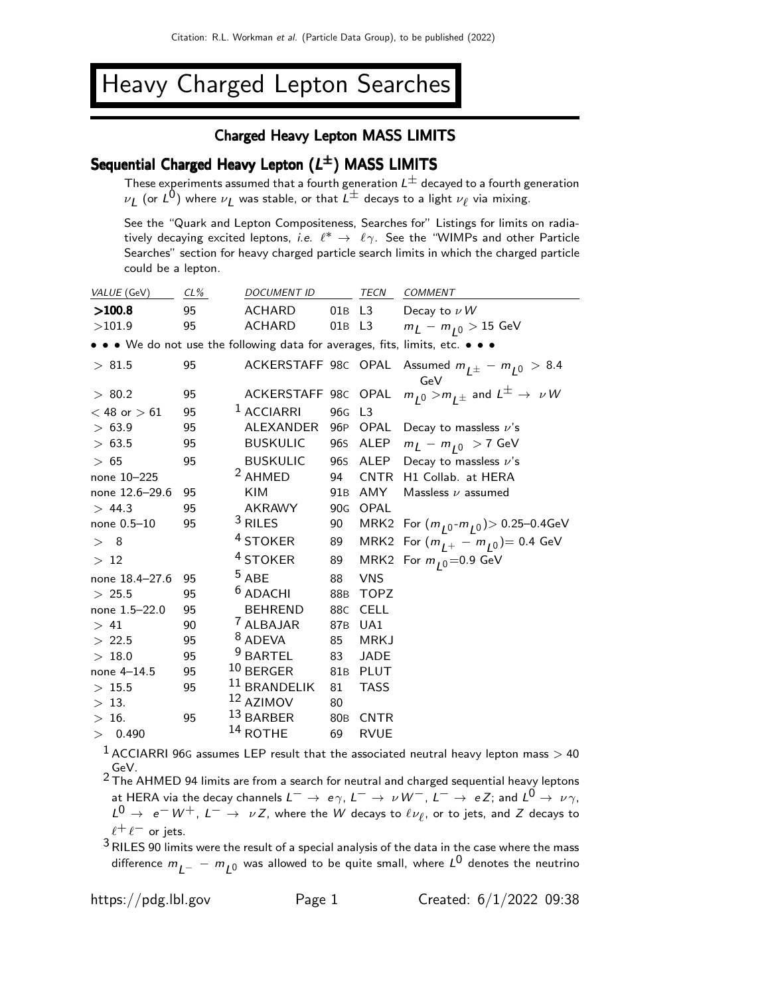# Heavy Charged Lepton Searches

#### Charged Heavy Lepton MASS LIMITS

## Sequential Charged Heavy Lepton  $(L^{\pm})$  MASS LIMITS

These experiments assumed that a fourth generation  $L^{\pm}$  decayed to a fourth generation These experiments assumed that a fourth generation  $\Sigma$  accessed to a fourth g<br>  $\nu_L$  (or  $L^0$ ) where  $\nu_L$  was stable, or that  $L^{\pm}$  decays to a light  $\nu_{\ell}$  via mixing.

See the "Quark and Lepton Compositeness, Searches for" Listings for limits on radiatively decaying excited leptons, *i.e.*  $\ell^* \to \ell \gamma$ . See the "WIMPs and other Particle Searches" section for heavy charged particle search limits in which the charged particle could be a lepton.

| VALUE (GeV)                                                                   | CL% |  | <b>DOCUMENT ID</b>      |                 | TECN           | <b>COMMENT</b>                                           |  |
|-------------------------------------------------------------------------------|-----|--|-------------------------|-----------------|----------------|----------------------------------------------------------|--|
| >100.8                                                                        | 95  |  | ACHARD                  | 01B L3          |                | Decay to $\nu$ W                                         |  |
| >101.9                                                                        | 95  |  | ACHARD                  | 01B             | L3             | $m_{\tilde{L}} - m_{\tilde{I}0} > 15$ GeV                |  |
| • • • We do not use the following data for averages, fits, limits, etc. • • • |     |  |                         |                 |                |                                                          |  |
| > 81.5                                                                        | 95  |  | ACKERSTAFF 98C OPAL     |                 |                | Assumed $m_{L^{\pm}} - m_{L^{0}} > 8.4$<br>GeV           |  |
| > 80.2                                                                        | 95  |  | ACKERSTAFF 98C OPAL     |                 |                | $m_{L^0} > m_{L^\pm}$ and $L^\pm \rightarrow \ \nu \, W$ |  |
| $<$ 48 or $>$ 61                                                              | 95  |  | $1$ ACCIARRI            | 96 <sub>G</sub> | L <sub>3</sub> |                                                          |  |
| > 63.9                                                                        | 95  |  | ALEXANDER               | 96P             | OPAL           | Decay to massless $\nu$ 's                               |  |
| > 63.5                                                                        | 95  |  | <b>BUSKULIC</b>         | 96s             | ALEP           | $m_{\tilde{L}} - m_{10} > 7$ GeV                         |  |
| >65                                                                           | 95  |  | <b>BUSKULIC</b>         | 96s             | ALEP           | Decay to massless $\nu$ 's                               |  |
| none 10-225                                                                   |     |  | <sup>2</sup> AHMED      | 94              | <b>CNTR</b>    | H1 Collab. at HERA                                       |  |
| none 12.6-29.6                                                                | 95  |  | KIM                     |                 | 91B AMY        | Massless $\nu$ assumed                                   |  |
| > 44.3                                                                        | 95  |  | AKRAWY                  | 90 <sub>G</sub> | OPAL           |                                                          |  |
| none 0.5-10                                                                   | 95  |  | $3$ RILES               | 90              |                | MRK2 For $(m_{10} - m_{10}) > 0.25 - 0.4$ GeV            |  |
| > 8                                                                           |     |  | <sup>4</sup> STOKER     | 89              |                | MRK2 For $(m_{1+} - m_{10}) = 0.4$ GeV                   |  |
| >12                                                                           |     |  | <sup>4</sup> STOKER     | 89              |                | MRK2 For $m_{10}$ =0.9 GeV                               |  |
| none 18.4-27.6                                                                | 95  |  | $5$ ABE                 | 88              | <b>VNS</b>     |                                                          |  |
| > 25.5                                                                        | 95  |  | <sup>6</sup> ADACHI     | 88 <sub>B</sub> | <b>TOPZ</b>    |                                                          |  |
| none 1.5-22.0                                                                 | 95  |  | <b>BEHREND</b>          | 88C             | <b>CELL</b>    |                                                          |  |
| >41                                                                           | 90  |  | <sup>7</sup> ALBAJAR    | 87 <sub>B</sub> | UA1            |                                                          |  |
| > 22.5                                                                        | 95  |  | <sup>8</sup> ADEVA      | 85              | <b>MRKJ</b>    |                                                          |  |
| >18.0                                                                         | 95  |  | <sup>9</sup> BARTEL     | 83              | JADE           |                                                          |  |
| none 4-14.5                                                                   | 95  |  | $10$ BERGER             | 81B             | PLUT           |                                                          |  |
| >15.5                                                                         | 95  |  | <sup>11</sup> BRANDELIK | 81              | <b>TASS</b>    |                                                          |  |
| > 13.                                                                         |     |  | $12$ AZIMOV             | 80              |                |                                                          |  |
| >16.                                                                          | 95  |  | 13 BARBER               | 80 <sub>B</sub> | CNTR           |                                                          |  |
| 0.490<br>>                                                                    |     |  | <sup>14</sup> ROTHE     | 69              | <b>RVUE</b>    |                                                          |  |

 $1$  ACCIARRI 96G assumes LEP result that the associated neutral heavy lepton mass  $>$  40 GeV.

<sup>2</sup> The AHMED 94 limits are from a search for neutral and charged sequential heavy leptons at HERA via the decay channels  $L^-\to e\gamma$ ,  $L^-\to \nu W^-,$   $L^-\to eZ$ ; and  $L^0\to \nu\gamma$ ,  $L^0$  → e<sup>-</sup>W<sup>+</sup>, L<sup>-</sup> →  $\nu$ Z, where the W decays to  $\ell \nu_{\ell}$ , or to jets, and Z decays to  $\ell^+ \ell^-$  or jets.

 $3$  RILES 90 limits were the result of a special analysis of the data in the case where the mass difference  $m_{\tilde{\cal L}^-} - m_{\tilde{\cal L}^0}$  was allowed to be quite small, where  ${\cal L}^0$  denotes the neutrino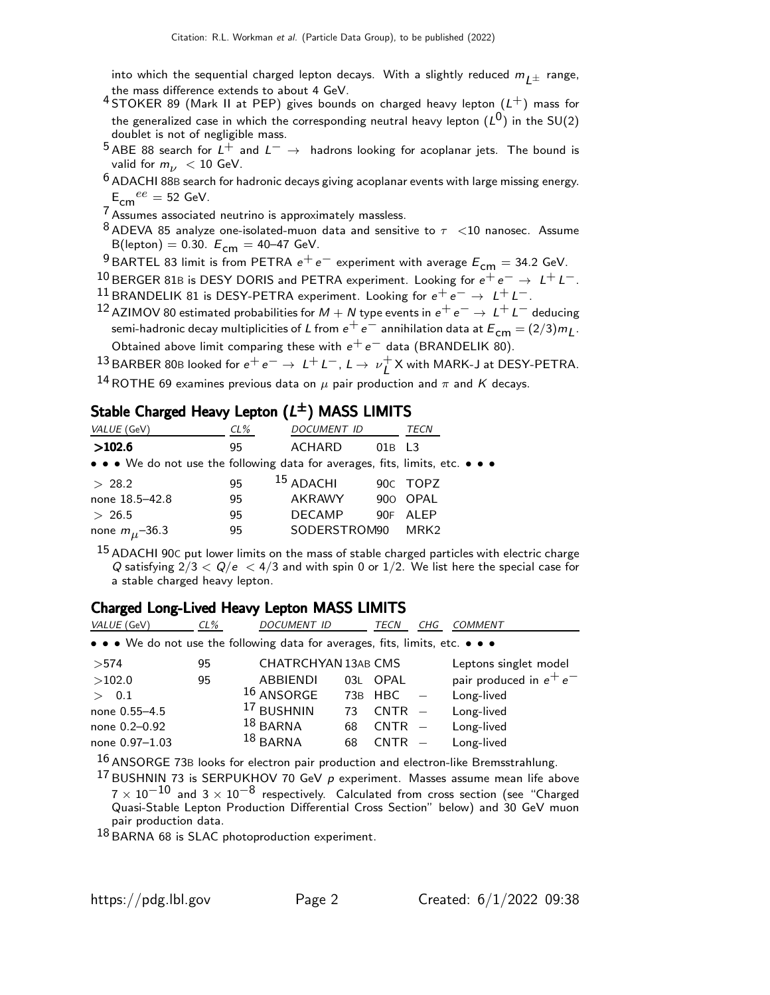into which the sequential charged lepton decays. With a slightly reduced  $m_{1\pm}$  range, the mass difference extends to about 4 GeV.

- 4 STOKER 89 (Mark II at PEP) gives bounds on charged heavy lepton  $(L^+)$  mass for the generalized case in which the corresponding neutral heavy lepton  $(\mathsf{L}^\mathsf{0})$  in the SU(2) doublet is not of negligible mass.
- 5 ABE 88 search for  $L^+$  and  $L^ \rightarrow$  hadrons looking for acoplanar jets. The bound is valid for  $m_{\nu}$  < 10 GeV.
- $6$  ADACHI 88B search for hadronic decays giving acoplanar events with large missing energy.  $E_{cm}{}^{ee} = 52$  GeV.

7 Assumes associated neutrino is approximately massless.

 $8$  ADEVA 85 analyze one-isolated-muon data and sensitive to  $\tau$  <10 nanosec. Assume B(lepton) = 0.30.  $E_{cm}$  = 40–47 GeV.

<sup>9</sup> BARTEL 83 limit is from PETRA  $e^+e^-$  experiment with average  $E_{cm} = 34.2$  GeV.

10 BERGER 81B is DESY DORIS and PETRA experiment. Looking for  $e^+e^- \rightarrow L^+L^-$ . 11 BRANDELIK 81 is DESY-PETRA experiment. Looking for  $e^+e^- \rightarrow L^+L^-$ .

12 AZIMOV 80 estimated probabilities for  $M + N$  type events in  $e^+e^- \rightarrow L^+L^-$  deducing semi-hadronic decay multiplicities of L from  $e^+e^-$  annihilation data at  $E^{\text{cm}} = (2/3)m_L$ . Obtained above limit comparing these with  $e^+e^-$  data (BRANDELIK 80).

13 BARBER 80B looked for  $e^+e^- \rightarrow L^+L^-, L \rightarrow \nu_I^+$  $\mathcal{L}^+$ X with MARK-J at DESY-PETRA.

<sup>14</sup> ROTHE 69 examines previous data on  $\mu$  pair production and  $\pi$  and K decays.

## Stable Charged Heavy Lepton  $(L^\pm)$  MASS LIMITS

| VALUE (GeV)                                                                   | $CL\%$ | DOCUMENT ID          |          | TECN     |
|-------------------------------------------------------------------------------|--------|----------------------|----------|----------|
| >102.6                                                                        | 95     | ACHARD               | $01B$ L3 |          |
| • • • We do not use the following data for averages, fits, limits, etc. • • • |        |                      |          |          |
| > 28.2                                                                        | 95     | <sup>15</sup> ADACHI |          | 90C TOPZ |
| none 18.5-42.8                                                                | 95     | AKRAWY               |          | 900 OPAL |
| > 26.5                                                                        | 95     | <b>DECAMP</b>        | 90F      | ALEP     |
| none $m_{\mu}$ -36.3                                                          | 95     | SODERSTROM90         |          | MRK2     |

 $15$  ADACHI 90C put lower limits on the mass of stable charged particles with electric charge Q satisfying  $2/3 < Q/e < 4/3$  and with spin 0 or 1/2. We list here the special case for a stable charged heavy lepton.

#### Charged Long-Lived Heavy Lepton MASS LIMITS

| VALUE (GeV)    | $CL\%$ | <i>DOCUMENT ID</i>                                                                                                    |     | TECN     | CHG | <b>COMMENT</b>            |
|----------------|--------|-----------------------------------------------------------------------------------------------------------------------|-----|----------|-----|---------------------------|
|                |        | $\bullet \bullet \bullet$ We do not use the following data for averages, fits, limits, etc. $\bullet \bullet \bullet$ |     |          |     |                           |
| >574           | 95     | <b>CHATRCHYAN 13AB CMS</b>                                                                                            |     |          |     | Leptons singlet model     |
| >102.0         | 95     | <b>ABBIENDI</b>                                                                                                       | 03L | OPAL     |     | pair produced in $e^+e^-$ |
| 0.1<br>$\geq$  |        | $16$ ANSORGE                                                                                                          |     | 73B HBC  |     | Long-lived                |
| none 0.55-4.5  |        | <sup>17</sup> BUSHNIN                                                                                                 | 73  | $CNTR -$ |     | Long-lived                |
| none 0.2-0.92  |        | $18$ BARNA                                                                                                            | 68  | $CNTR -$ |     | Long-lived                |
| none 0.97-1.03 |        | $18$ BARNA                                                                                                            | 68  | $CNTR -$ |     | Long-lived                |

 $^{16}$  ANSORGE 73B looks for electron pair production and electron-like Bremsstrahlung.

 $17$  BUSHNIN 73 is SERPUKHOV 70 GeV  $p$  experiment. Masses assume mean life above  $7 \times 10^{-10}$  and  $3 \times 10^{-8}$  respectively. Calculated from cross section (see "Charged Quasi-Stable Lepton Production Differential Cross Section" below) and 30 GeV muon pair production data.

18 BARNA 68 is SLAC photoproduction experiment.